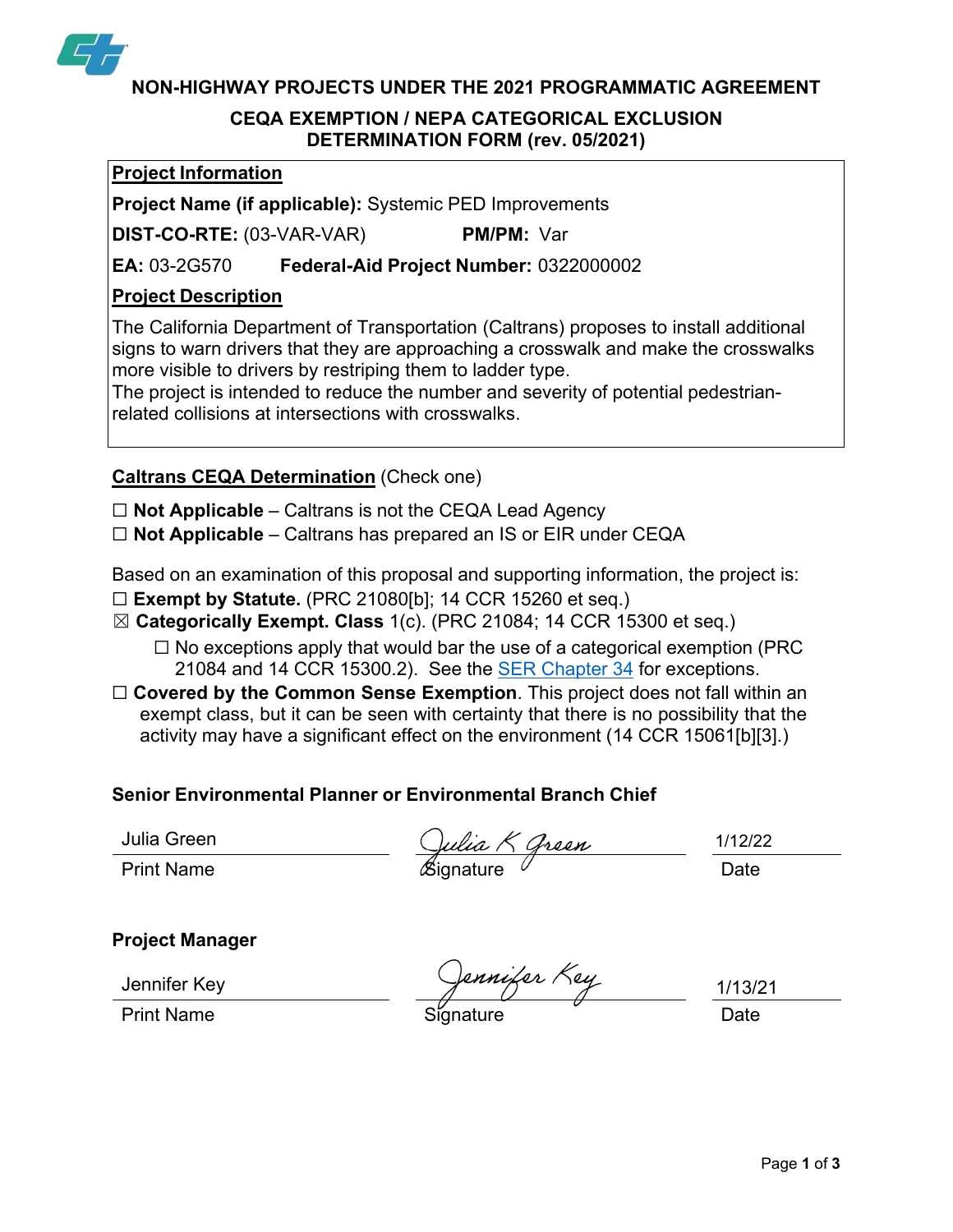

**NON-HIGHWAY PROJECTS UNDER THE 2021 PROGRAMMATIC AGREEMENT**

## **CEQA EXEMPTION / NEPA CATEGORICAL EXCLUSION DETERMINATION FORM (rev. 05/2021)**

### **Project Information**

**Project Name (if applicable):** Systemic PED Improvements

**DIST-CO-RTE:** (03-VAR-VAR) **PM/PM:** Var

**EA:** 03-2G570 **Federal-Aid Project Number:** 0322000002

# **Project Description**

The California Department of Transportation (Caltrans) proposes to install additional signs to warn drivers that they are approaching a crosswalk and make the crosswalks more visible to drivers by restriping them to ladder type.

The project is intended to reduce the number and severity of potential pedestrianrelated collisions at intersections with crosswalks.

# **Caltrans CEQA Determination** (Check one)

☐ **Not Applicable** – Caltrans is not the CEQA Lead Agency

☐ **Not Applicable** – Caltrans has prepared an IS or EIR under CEQA

Based on an examination of this proposal and supporting information, the project is:

- ☐ **Exempt by Statute.** (PRC 21080[b]; 14 CCR 15260 et seq.)
- ☒ **Categorically Exempt. Class** 1(c). (PRC 21084; 14 CCR 15300 et seq.)
	- $\Box$  No exceptions apply that would bar the use of a categorical exemption (PRC 21084 and 14 CCR 15300.2). See the SER [Chapter](https://dot.ca.gov/programs/environmental-analysis/standard-environmental-reference-ser/volume-1-guidance-for-compliance/ch-34-exemptions-to-ceqa#except) 34 for exceptions.
- □ **Covered by the Common Sense Exemption**. This project does not fall within an exempt class, but it can be seen with certainty that there is no possibility that the activity may have a significant effect on the environment (14 CCR 15061[b][3].)

# **Senior Environmental Planner or Environmental Branch Chief**

Print Name  $\qquad \qquad \qquad$   $\qquad$   $\qquad$   $\qquad$   $\qquad$   $\qquad$   $\qquad$   $\qquad$   $\qquad$   $\qquad$   $\qquad$   $\qquad$   $\qquad$   $\qquad$   $\qquad$   $\qquad$   $\qquad$   $\qquad$   $\qquad$   $\qquad$   $\qquad$   $\qquad$   $\qquad$   $\qquad$   $\qquad$   $\qquad$   $\qquad$   $\qquad$   $\qquad$   $\qquad$   $\qquad$   $\qquad$   $\qquad$   $\qquad$ 

Julia Green  $\bigcup_{\mathcal{U}} \mathcal{L}_{\mathcal{U}} \mathcal{L}_{\mathcal{U}} \mathcal{L}_{\mathcal{U}}$  1/12/22

# **Project Manager**

Jennifer Key

ennifer Key

1/13/21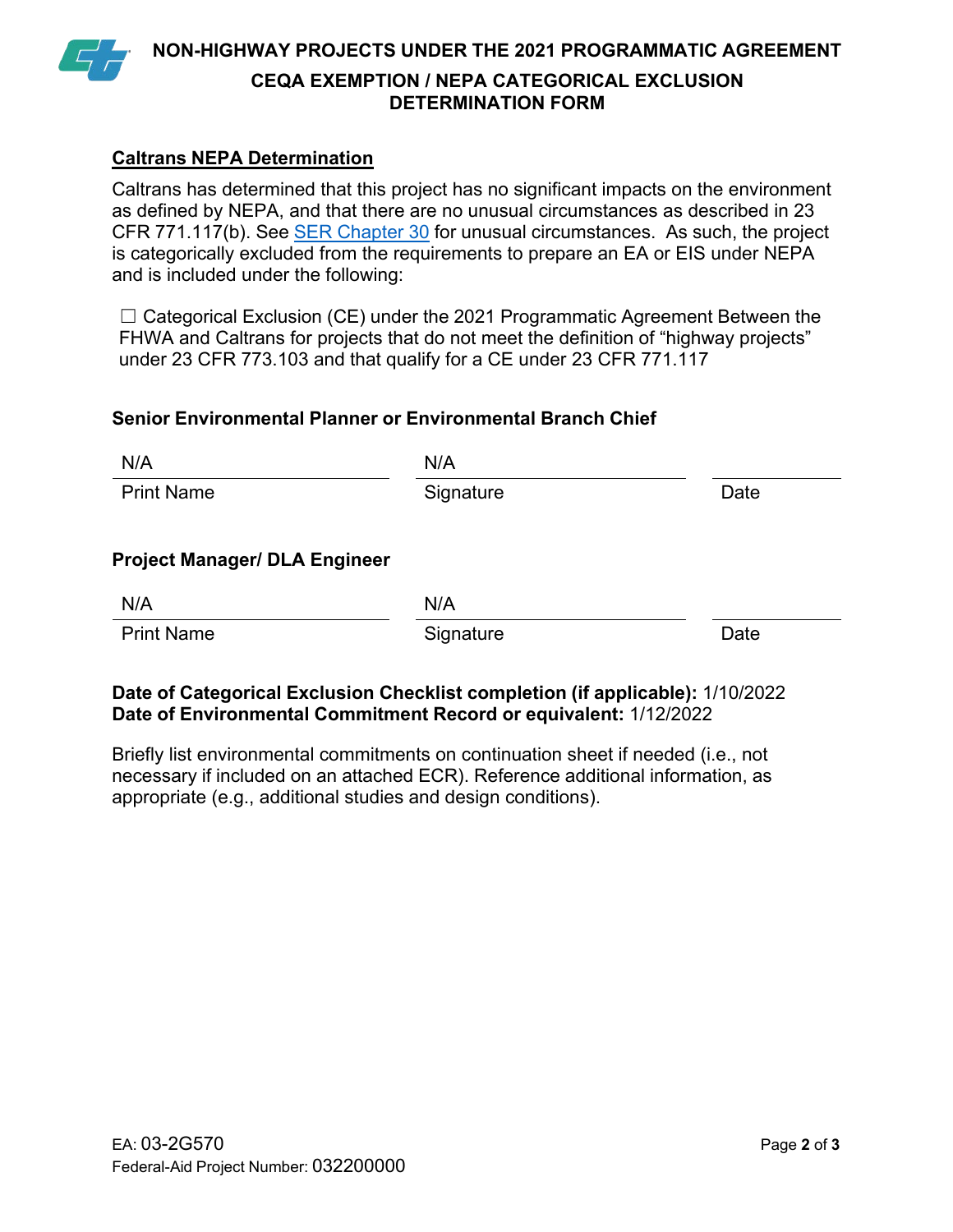

**NON-HIGHWAY PROJECTS UNDER THE 2021 PROGRAMMATIC AGREEMENT CEQA EXEMPTION / NEPA CATEGORICAL EXCLUSION DETERMINATION FORM**

## **Caltrans NEPA Determination**

Caltrans has determined that this project has no significant impacts on the environment as defined by NEPA, and that there are no unusual circumstances as described in 23 CFR 771.117(b). See SER [Chapter](https://dot.ca.gov/programs/environmental-analysis/standard-environmental-reference-ser/volume-1-guidance-for-compliance/ch-30-categorical-exclusions#exception) 30 for unusual circumstances. As such, the project is categorically excluded from the requirements to prepare an EA or EIS under NEPA and is included under the following:

 $\Box$  Categorical Exclusion (CE) under the 2021 Programmatic Agreement Between the FHWA and Caltrans for projects that do not meet the definition of "highway projects" under 23 CFR 773.103 and that qualify for a CE under 23 CFR 771.117

### **Senior Environmental Planner or Environmental Branch Chief**

| N/A                                  | N/A       |      |
|--------------------------------------|-----------|------|
| <b>Print Name</b>                    | Signature | Date |
| <b>Project Manager/ DLA Engineer</b> |           |      |
| N/A                                  | N/A       |      |
| <b>Print Name</b>                    | Signature | Date |

### **Date of Categorical Exclusion Checklist completion (if applicable):** 1/10/2022 **Date of Environmental Commitment Record or equivalent:** 1/12/2022

Briefly list environmental commitments on continuation sheet if needed (i.e., not necessary if included on an attached ECR). Reference additional information, as appropriate (e.g., additional studies and design conditions).